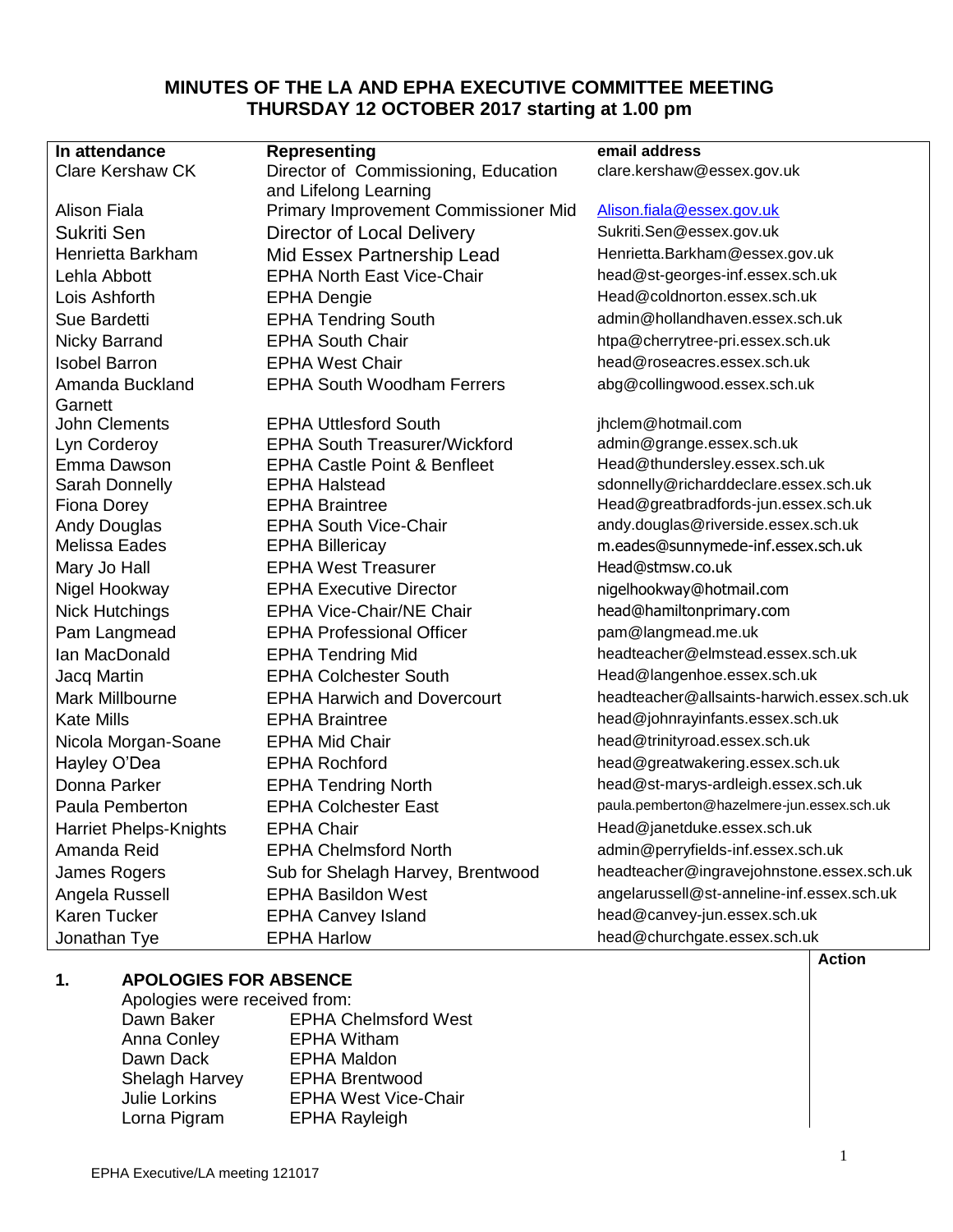# **MINUTES OF THE LA AND EPHA EXECUTIVE COMMITTEE MEETING THURSDAY 12 OCTOBER 2017 starting at 1.00 pm**

| In attendance                 | <b>Representing</b>                     | email address                              |
|-------------------------------|-----------------------------------------|--------------------------------------------|
| <b>Clare Kershaw CK</b>       | Director of Commissioning, Education    | clare.kershaw@essex.gov.uk                 |
|                               | and Lifelong Learning                   |                                            |
| <b>Alison Fiala</b>           | Primary Improvement Commissioner Mid    | Alison.fiala@essex.gov.uk                  |
| Sukriti Sen                   | Director of Local Delivery              | Sukriti.Sen@essex.gov.uk                   |
| Henrietta Barkham             | Mid Essex Partnership Lead              | Henrietta.Barkham@essex.gov.uk             |
| Lehla Abbott                  | <b>EPHA North East Vice-Chair</b>       | head@st-georges-inf.essex.sch.uk           |
| Lois Ashforth                 | <b>EPHA Dengie</b>                      | Head@coldnorton.essex.sch.uk               |
| Sue Bardetti                  | <b>EPHA Tendring South</b>              | admin@hollandhaven.essex.sch.uk            |
| <b>Nicky Barrand</b>          | <b>EPHA South Chair</b>                 | htpa@cherrytree-pri.essex.sch.uk           |
| <b>Isobel Barron</b>          | <b>EPHA West Chair</b>                  | head@roseacres.essex.sch.uk                |
| Amanda Buckland               | <b>EPHA South Woodham Ferrers</b>       | abg@collingwood.essex.sch.uk               |
| Garnett                       |                                         |                                            |
| <b>John Clements</b>          | <b>EPHA Uttlesford South</b>            | jhclem@hotmail.com                         |
| Lyn Corderoy                  | <b>EPHA South Treasurer/Wickford</b>    | admin@grange.essex.sch.uk                  |
| Emma Dawson                   | <b>EPHA Castle Point &amp; Benfleet</b> | Head@thundersley.essex.sch.uk              |
| Sarah Donnelly                | <b>EPHA Halstead</b>                    | sdonnelly@richarddeclare.essex.sch.uk      |
| <b>Fiona Dorey</b>            | <b>EPHA Braintree</b>                   | Head@greatbradfords-jun.essex.sch.uk       |
| Andy Douglas                  | <b>EPHA South Vice-Chair</b>            | andy.douglas@riverside.essex.sch.uk        |
| Melissa Eades                 | <b>EPHA Billericay</b>                  | m.eades@sunnymede-inf.essex.sch.uk         |
| Mary Jo Hall                  | <b>EPHA West Treasurer</b>              | Head@stmsw.co.uk                           |
| Nigel Hookway                 | <b>EPHA Executive Director</b>          | nigelhookway@hotmail.com                   |
| <b>Nick Hutchings</b>         | <b>EPHA Vice-Chair/NE Chair</b>         | head@hamiltonprimary.com                   |
| Pam Langmead                  | <b>EPHA Professional Officer</b>        | pam@langmead.me.uk                         |
| Ian MacDonald                 | <b>EPHA Tendring Mid</b>                | headteacher@elmstead.essex.sch.uk          |
| Jacq Martin                   | <b>EPHA Colchester South</b>            | Head@langenhoe.essex.sch.uk                |
| Mark Millbourne               | <b>EPHA Harwich and Dovercourt</b>      | headteacher@allsaints-harwich.essex.sch.uk |
| <b>Kate Mills</b>             | <b>EPHA Braintree</b>                   | head@johnrayinfants.essex.sch.uk           |
| Nicola Morgan-Soane           | <b>EPHA Mid Chair</b>                   | head@trinityroad.essex.sch.uk              |
| Hayley O'Dea                  | <b>EPHA Rochford</b>                    | head@greatwakering.essex.sch.uk            |
| Donna Parker                  | <b>EPHA Tendring North</b>              | head@st-marys-ardleigh.essex.sch.uk        |
| Paula Pemberton               | <b>EPHA Colchester East</b>             | paula.pemberton@hazelmere-jun.essex.sch.uk |
| <b>Harriet Phelps-Knights</b> | <b>EPHA Chair</b>                       | Head@janetduke.essex.sch.uk                |
| Amanda Reid                   | <b>EPHA Chelmsford North</b>            | admin@perryfields-inf.essex.sch.uk         |
| James Rogers                  | Sub for Shelagh Harvey, Brentwood       | headteacher@ingravejohnstone.essex.sch.uk  |
| Angela Russell                | <b>EPHA Basildon West</b>               | angelarussell@st-anneline-inf.essex.sch.uk |
| Karen Tucker                  | <b>EPHA Canvey Island</b>               | head@canvey-jun.essex.sch.uk               |
| Jonathan Tye                  | <b>EPHA Harlow</b>                      | head@churchgate.essex.sch.uk               |
|                               |                                         | <b>Action</b>                              |

# **1. APOLOGIES FOR ABSENCE**

| Apologies were received from: |                             |  |
|-------------------------------|-----------------------------|--|
| Dawn Baker                    | <b>EPHA Chelmsford West</b> |  |
| Anna Conley                   | <b>EPHA Witham</b>          |  |
| Dawn Dack                     | <b>EPHA Maldon</b>          |  |
| <b>Shelagh Harvey</b>         | <b>EPHA Brentwood</b>       |  |
| <b>Julie Lorkins</b>          | <b>EPHA West Vice-Chair</b> |  |
| Lorna Pigram                  | <b>EPHA Rayleigh</b>        |  |

EPHA Executive/LA meeting 121017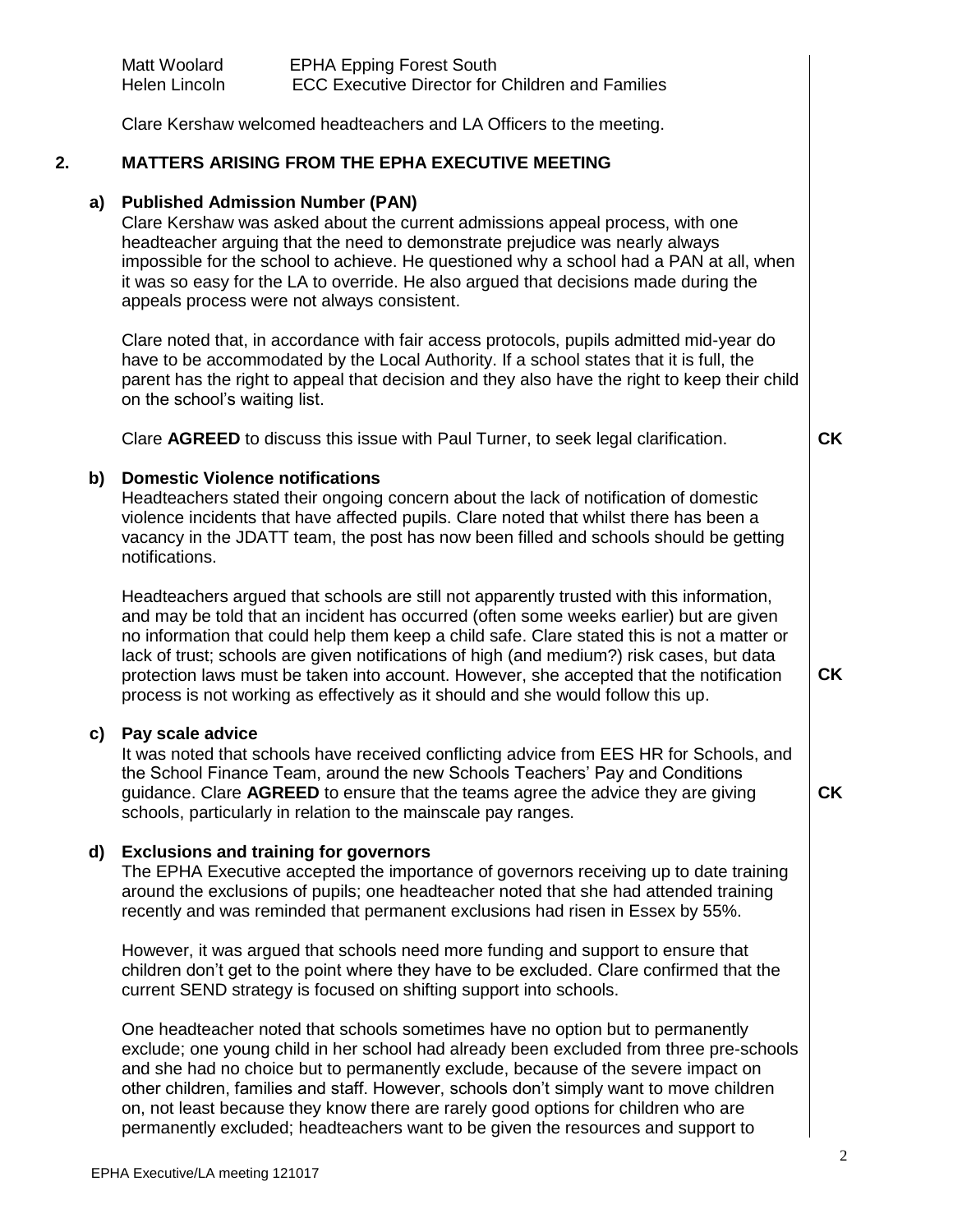|    | Matt Woolard<br>Helen Lincoln                                       | <b>EPHA Epping Forest South</b><br><b>ECC Executive Director for Children and Families</b>                                                                                                                                                                                                                                                                                                                                                                                                                                                                    |           |  |
|----|---------------------------------------------------------------------|---------------------------------------------------------------------------------------------------------------------------------------------------------------------------------------------------------------------------------------------------------------------------------------------------------------------------------------------------------------------------------------------------------------------------------------------------------------------------------------------------------------------------------------------------------------|-----------|--|
|    | Clare Kershaw welcomed headteachers and LA Officers to the meeting. |                                                                                                                                                                                                                                                                                                                                                                                                                                                                                                                                                               |           |  |
|    | <b>MATTERS ARISING FROM THE EPHA EXECUTIVE MEETING</b>              |                                                                                                                                                                                                                                                                                                                                                                                                                                                                                                                                                               |           |  |
| a) | <b>Published Admission Number (PAN)</b>                             | Clare Kershaw was asked about the current admissions appeal process, with one<br>headteacher arguing that the need to demonstrate prejudice was nearly always<br>impossible for the school to achieve. He questioned why a school had a PAN at all, when<br>it was so easy for the LA to override. He also argued that decisions made during the<br>appeals process were not always consistent.                                                                                                                                                               |           |  |
|    | on the school's waiting list.                                       | Clare noted that, in accordance with fair access protocols, pupils admitted mid-year do<br>have to be accommodated by the Local Authority. If a school states that it is full, the<br>parent has the right to appeal that decision and they also have the right to keep their child                                                                                                                                                                                                                                                                           |           |  |
|    |                                                                     | Clare AGREED to discuss this issue with Paul Turner, to seek legal clarification.                                                                                                                                                                                                                                                                                                                                                                                                                                                                             | CK        |  |
| b) | <b>Domestic Violence notifications</b><br>notifications.            | Headteachers stated their ongoing concern about the lack of notification of domestic<br>violence incidents that have affected pupils. Clare noted that whilst there has been a<br>vacancy in the JDATT team, the post has now been filled and schools should be getting                                                                                                                                                                                                                                                                                       |           |  |
|    |                                                                     | Headteachers argued that schools are still not apparently trusted with this information,<br>and may be told that an incident has occurred (often some weeks earlier) but are given<br>no information that could help them keep a child safe. Clare stated this is not a matter or<br>lack of trust; schools are given notifications of high (and medium?) risk cases, but data<br>protection laws must be taken into account. However, she accepted that the notification<br>process is not working as effectively as it should and she would follow this up. | <b>CK</b> |  |
|    | c) Pay scale advice                                                 | It was noted that schools have received conflicting advice from EES HR for Schools, and<br>the School Finance Team, around the new Schools Teachers' Pay and Conditions<br>guidance. Clare AGREED to ensure that the teams agree the advice they are giving<br>schools, particularly in relation to the mainscale pay ranges.                                                                                                                                                                                                                                 | <b>CK</b> |  |
| d) | <b>Exclusions and training for governors</b>                        | The EPHA Executive accepted the importance of governors receiving up to date training<br>around the exclusions of pupils; one headteacher noted that she had attended training<br>recently and was reminded that permanent exclusions had risen in Essex by 55%.                                                                                                                                                                                                                                                                                              |           |  |
|    |                                                                     | However, it was argued that schools need more funding and support to ensure that<br>children don't get to the point where they have to be excluded. Clare confirmed that the<br>current SEND strategy is focused on shifting support into schools.                                                                                                                                                                                                                                                                                                            |           |  |
|    |                                                                     | One headteacher noted that schools sometimes have no option but to permanently<br>exclude; one young child in her school had already been excluded from three pre-schools<br>and she had no choice but to permanently exclude, because of the severe impact on<br>other children, families and staff. However, schools don't simply want to move children<br>on, not least because they know there are rarely good options for children who are                                                                                                               |           |  |

permanently excluded; headteachers want to be given the resources and support to

**2.**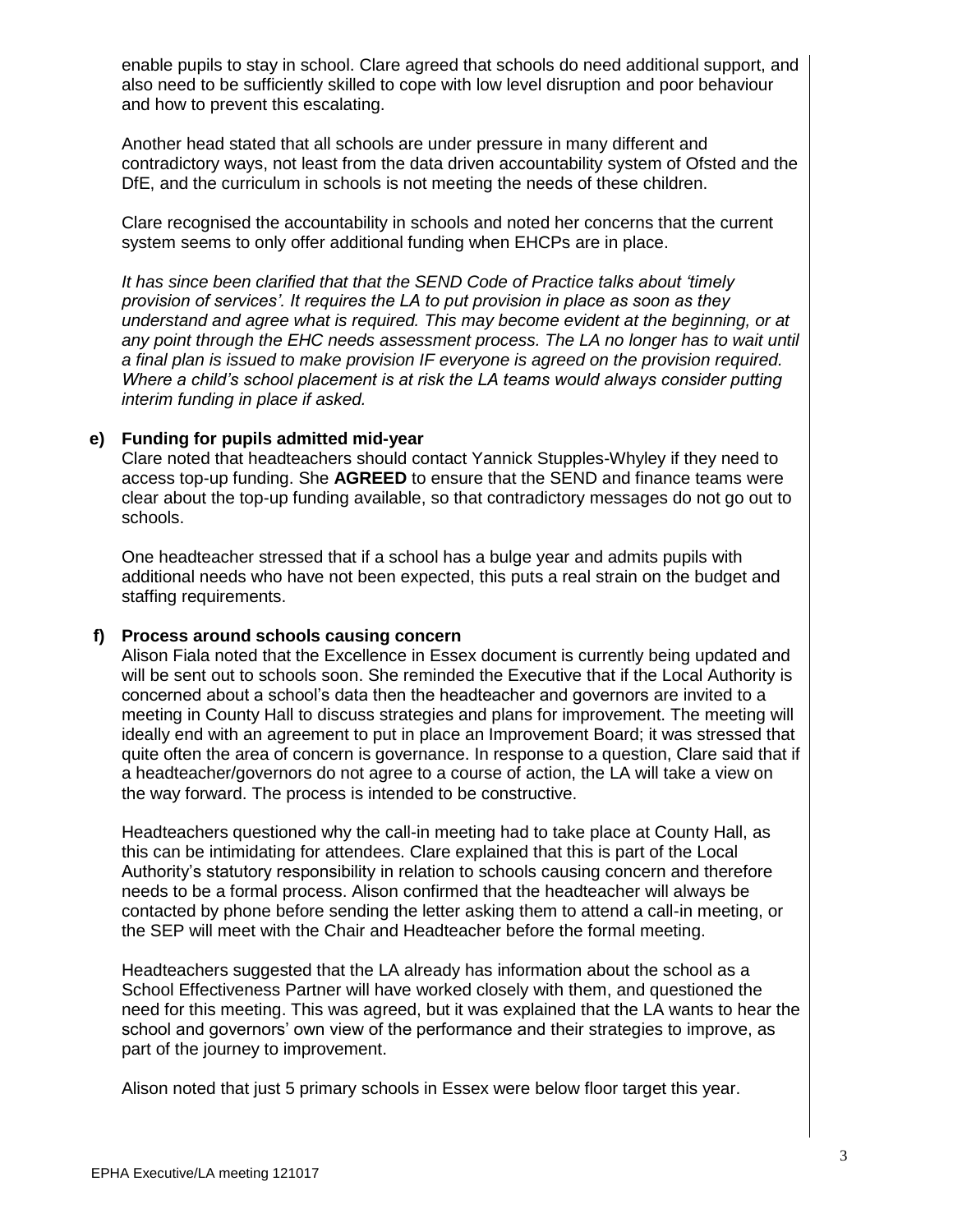enable pupils to stay in school. Clare agreed that schools do need additional support, and also need to be sufficiently skilled to cope with low level disruption and poor behaviour and how to prevent this escalating.

Another head stated that all schools are under pressure in many different and contradictory ways, not least from the data driven accountability system of Ofsted and the DfE, and the curriculum in schools is not meeting the needs of these children.

Clare recognised the accountability in schools and noted her concerns that the current system seems to only offer additional funding when EHCPs are in place.

*It has since been clarified that that the SEND Code of Practice talks about 'timely provision of services'. It requires the LA to put provision in place as soon as they understand and agree what is required. This may become evident at the beginning, or at any point through the EHC needs assessment process. The LA no longer has to wait until a final plan is issued to make provision IF everyone is agreed on the provision required. Where a child's school placement is at risk the LA teams would always consider putting interim funding in place if asked.*

#### **e) Funding for pupils admitted mid-year**

Clare noted that headteachers should contact Yannick Stupples-Whyley if they need to access top-up funding. She **AGREED** to ensure that the SEND and finance teams were clear about the top-up funding available, so that contradictory messages do not go out to schools.

One headteacher stressed that if a school has a bulge year and admits pupils with additional needs who have not been expected, this puts a real strain on the budget and staffing requirements.

#### **f) Process around schools causing concern**

Alison Fiala noted that the Excellence in Essex document is currently being updated and will be sent out to schools soon. She reminded the Executive that if the Local Authority is concerned about a school's data then the headteacher and governors are invited to a meeting in County Hall to discuss strategies and plans for improvement. The meeting will ideally end with an agreement to put in place an Improvement Board; it was stressed that quite often the area of concern is governance. In response to a question, Clare said that if a headteacher/governors do not agree to a course of action, the LA will take a view on the way forward. The process is intended to be constructive.

Headteachers questioned why the call-in meeting had to take place at County Hall, as this can be intimidating for attendees. Clare explained that this is part of the Local Authority's statutory responsibility in relation to schools causing concern and therefore needs to be a formal process. Alison confirmed that the headteacher will always be contacted by phone before sending the letter asking them to attend a call-in meeting, or the SEP will meet with the Chair and Headteacher before the formal meeting.

Headteachers suggested that the LA already has information about the school as a School Effectiveness Partner will have worked closely with them, and questioned the need for this meeting. This was agreed, but it was explained that the LA wants to hear the school and governors' own view of the performance and their strategies to improve, as part of the journey to improvement.

Alison noted that just 5 primary schools in Essex were below floor target this year.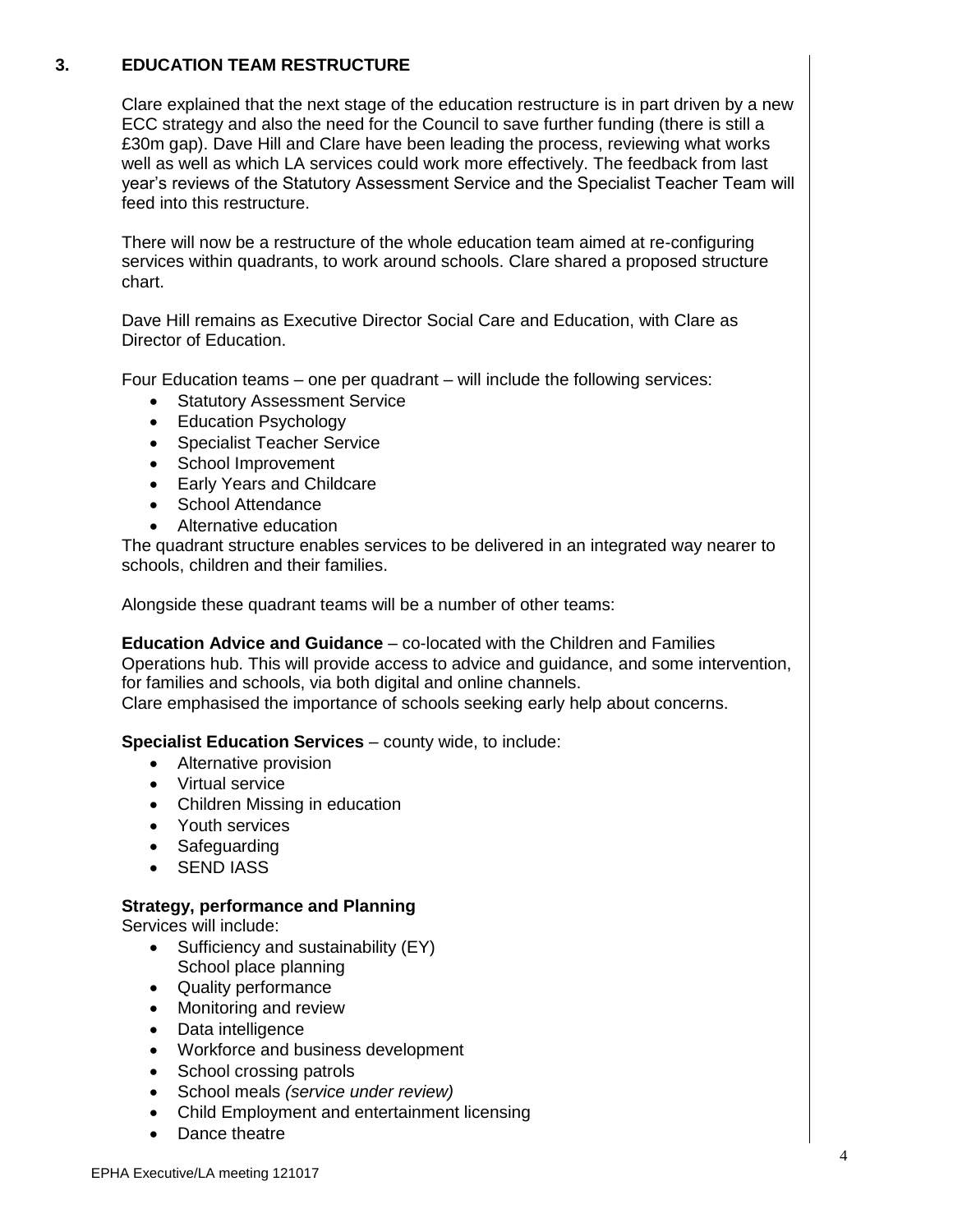## **3. EDUCATION TEAM RESTRUCTURE**

Clare explained that the next stage of the education restructure is in part driven by a new ECC strategy and also the need for the Council to save further funding (there is still a £30m gap). Dave Hill and Clare have been leading the process, reviewing what works well as well as which LA services could work more effectively. The feedback from last year's reviews of the Statutory Assessment Service and the Specialist Teacher Team will feed into this restructure.

There will now be a restructure of the whole education team aimed at re-configuring services within quadrants, to work around schools. Clare shared a proposed structure chart.

Dave Hill remains as Executive Director Social Care and Education, with Clare as Director of Education.

Four Education teams – one per quadrant – will include the following services:

- Statutory Assessment Service
- Education Psychology
- **•** Specialist Teacher Service
- School Improvement
- Early Years and Childcare
- School Attendance
- Alternative education

The quadrant structure enables services to be delivered in an integrated way nearer to schools, children and their families.

Alongside these quadrant teams will be a number of other teams:

**Education Advice and Guidance** – co-located with the Children and Families

Operations hub. This will provide access to advice and guidance, and some intervention, for families and schools, via both digital and online channels.

Clare emphasised the importance of schools seeking early help about concerns.

#### **Specialist Education Services** – county wide, to include:

- Alternative provision
- Virtual service
- Children Missing in education
- Youth services
- Safeguarding
- SEND IASS

#### **Strategy, performance and Planning**

Services will include:

- Sufficiency and sustainability (EY) School place planning
- Quality performance
- Monitoring and review
- Data intelligence
- Workforce and business development
- School crossing patrols
- School meals *(service under review)*
- Child Employment and entertainment licensing
- Dance theatre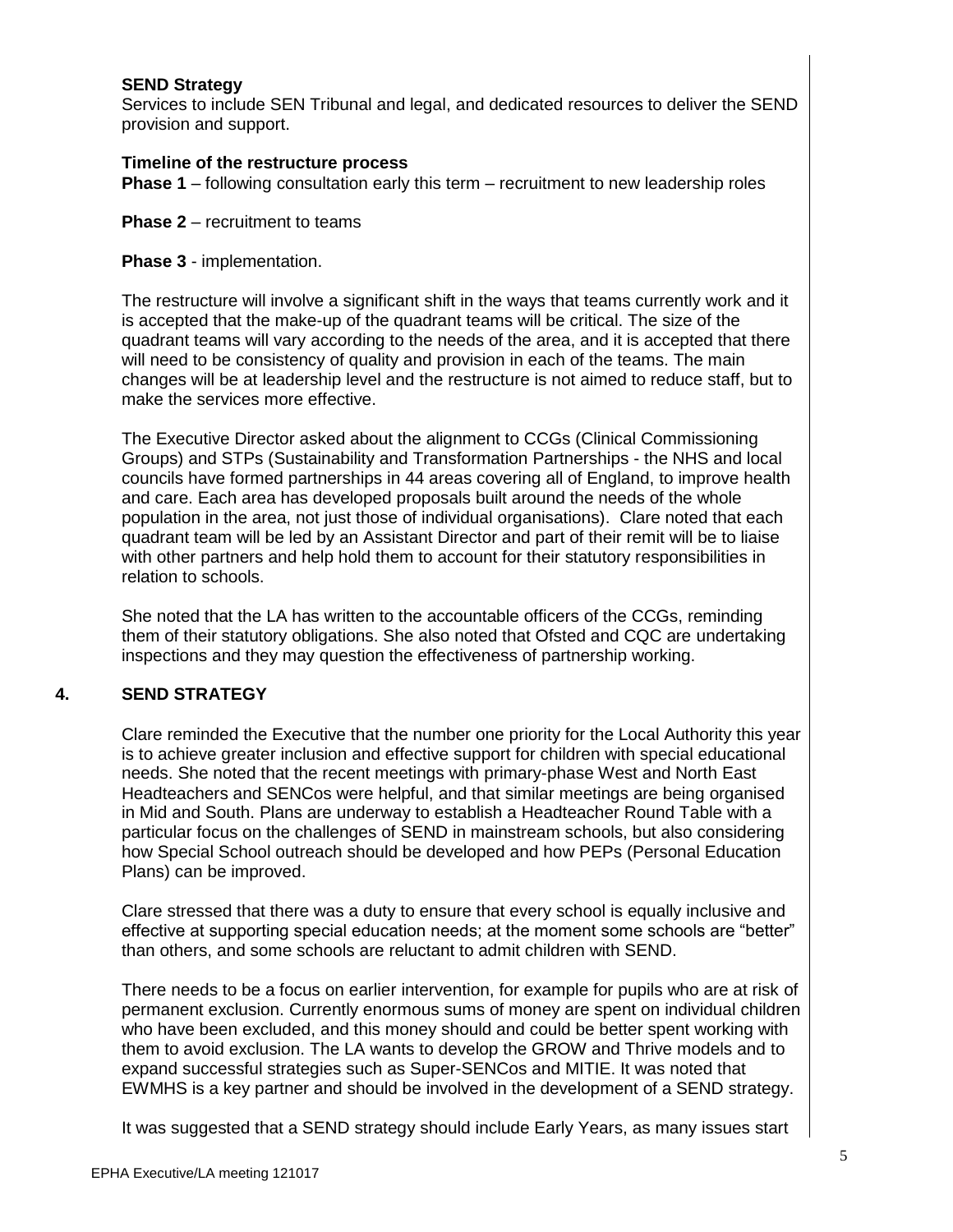#### **SEND Strategy**

Services to include SEN Tribunal and legal, and dedicated resources to deliver the SEND provision and support.

#### **Timeline of the restructure process**

**Phase 1** – following consultation early this term – recruitment to new leadership roles

- **Phase 2** recruitment to teams
- **Phase 3** implementation.

The restructure will involve a significant shift in the ways that teams currently work and it is accepted that the make-up of the quadrant teams will be critical. The size of the quadrant teams will vary according to the needs of the area, and it is accepted that there will need to be consistency of quality and provision in each of the teams. The main changes will be at leadership level and the restructure is not aimed to reduce staff, but to make the services more effective.

The Executive Director asked about the alignment to CCGs (Clinical Commissioning Groups) and STPs (Sustainability and Transformation Partnerships - the NHS and local councils have formed partnerships in 44 areas covering all of England, to improve health and care. Each area has developed proposals built around the needs of the whole population in the area, not just those of individual organisations). Clare noted that each quadrant team will be led by an Assistant Director and part of their remit will be to liaise with other partners and help hold them to account for their statutory responsibilities in relation to schools.

She noted that the LA has written to the accountable officers of the CCGs, reminding them of their statutory obligations. She also noted that Ofsted and CQC are undertaking inspections and they may question the effectiveness of partnership working.

## **4. SEND STRATEGY**

Clare reminded the Executive that the number one priority for the Local Authority this year is to achieve greater inclusion and effective support for children with special educational needs. She noted that the recent meetings with primary-phase West and North East Headteachers and SENCos were helpful, and that similar meetings are being organised in Mid and South. Plans are underway to establish a Headteacher Round Table with a particular focus on the challenges of SEND in mainstream schools, but also considering how Special School outreach should be developed and how PEPs (Personal Education Plans) can be improved.

Clare stressed that there was a duty to ensure that every school is equally inclusive and effective at supporting special education needs; at the moment some schools are "better" than others, and some schools are reluctant to admit children with SEND.

There needs to be a focus on earlier intervention, for example for pupils who are at risk of permanent exclusion. Currently enormous sums of money are spent on individual children who have been excluded, and this money should and could be better spent working with them to avoid exclusion. The LA wants to develop the GROW and Thrive models and to expand successful strategies such as Super-SENCos and MITIE. It was noted that EWMHS is a key partner and should be involved in the development of a SEND strategy.

It was suggested that a SEND strategy should include Early Years, as many issues start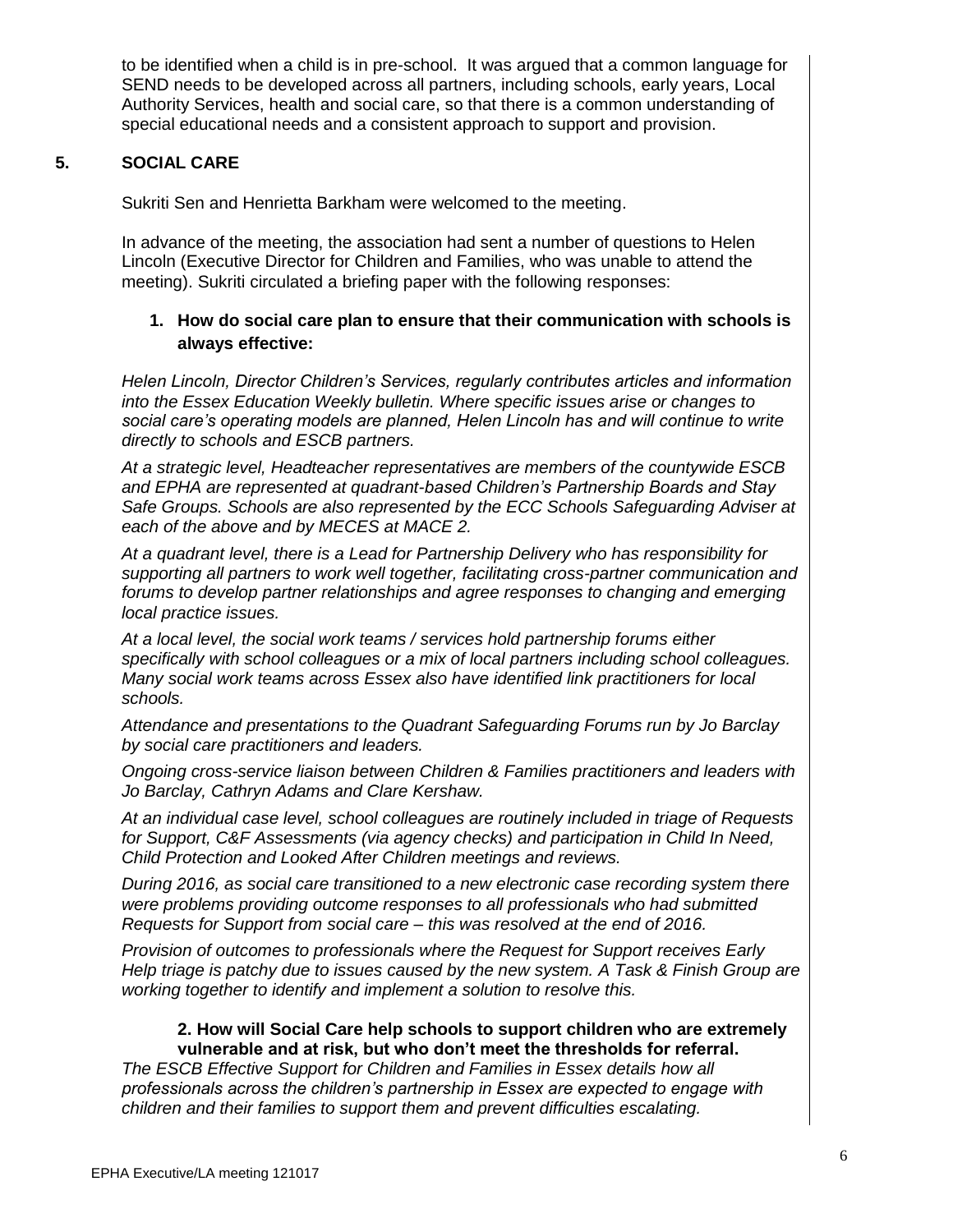to be identified when a child is in pre-school. It was argued that a common language for SEND needs to be developed across all partners, including schools, early years, Local Authority Services, health and social care, so that there is a common understanding of special educational needs and a consistent approach to support and provision.

## **5. SOCIAL CARE**

Sukriti Sen and Henrietta Barkham were welcomed to the meeting.

In advance of the meeting, the association had sent a number of questions to Helen Lincoln (Executive Director for Children and Families, who was unable to attend the meeting). Sukriti circulated a briefing paper with the following responses:

## **1. How do social care plan to ensure that their communication with schools is always effective:**

*Helen Lincoln, Director Children's Services, regularly contributes articles and information into the Essex Education Weekly bulletin. Where specific issues arise or changes to social care's operating models are planned, Helen Lincoln has and will continue to write directly to schools and ESCB partners.*

*At a strategic level, Headteacher representatives are members of the countywide ESCB and EPHA are represented at quadrant-based Children's Partnership Boards and Stay Safe Groups. Schools are also represented by the ECC Schools Safeguarding Adviser at each of the above and by MECES at MACE 2.* 

*At a quadrant level, there is a Lead for Partnership Delivery who has responsibility for supporting all partners to work well together, facilitating cross-partner communication and forums to develop partner relationships and agree responses to changing and emerging local practice issues.*

*At a local level, the social work teams / services hold partnership forums either specifically with school colleagues or a mix of local partners including school colleagues. Many social work teams across Essex also have identified link practitioners for local schools.*

*Attendance and presentations to the Quadrant Safeguarding Forums run by Jo Barclay by social care practitioners and leaders.*

*Ongoing cross-service liaison between Children & Families practitioners and leaders with Jo Barclay, Cathryn Adams and Clare Kershaw.*

*At an individual case level, school colleagues are routinely included in triage of Requests for Support, C&F Assessments (via agency checks) and participation in Child In Need, Child Protection and Looked After Children meetings and reviews.* 

*During 2016, as social care transitioned to a new electronic case recording system there were problems providing outcome responses to all professionals who had submitted Requests for Support from social care – this was resolved at the end of 2016.* 

*Provision of outcomes to professionals where the Request for Support receives Early Help triage is patchy due to issues caused by the new system. A Task & Finish Group are working together to identify and implement a solution to resolve this.*

## **2. How will Social Care help schools to support children who are extremely vulnerable and at risk, but who don't meet the thresholds for referral.**

*The ESCB Effective Support for Children and Families in Essex details how all professionals across the children's partnership in Essex are expected to engage with children and their families to support them and prevent difficulties escalating.*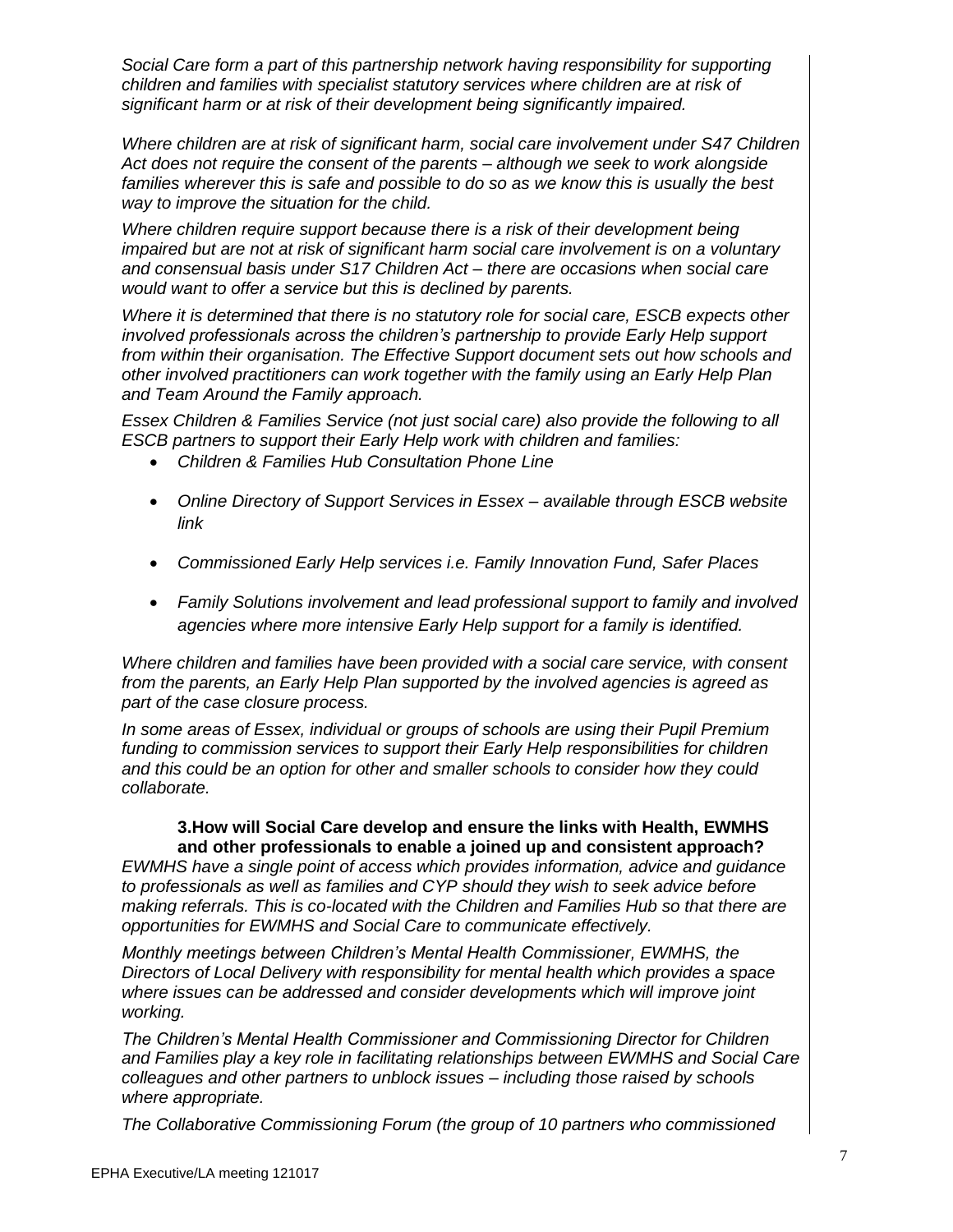*Social Care form a part of this partnership network having responsibility for supporting children and families with specialist statutory services where children are at risk of significant harm or at risk of their development being significantly impaired.* 

*Where children are at risk of significant harm, social care involvement under S47 Children Act does not require the consent of the parents – although we seek to work alongside families wherever this is safe and possible to do so as we know this is usually the best way to improve the situation for the child.*

*Where children require support because there is a risk of their development being impaired but are not at risk of significant harm social care involvement is on a voluntary and consensual basis under S17 Children Act – there are occasions when social care would want to offer a service but this is declined by parents.*

*Where it is determined that there is no statutory role for social care, ESCB expects other involved professionals across the children's partnership to provide Early Help support from within their organisation. The Effective Support document sets out how schools and other involved practitioners can work together with the family using an Early Help Plan and Team Around the Family approach.*

*Essex Children & Families Service (not just social care) also provide the following to all ESCB partners to support their Early Help work with children and families:*

- *Children & Families Hub Consultation Phone Line*
- *Online Directory of Support Services in Essex – available through ESCB website link*
- *Commissioned Early Help services i.e. Family Innovation Fund, Safer Places*
- *Family Solutions involvement and lead professional support to family and involved agencies where more intensive Early Help support for a family is identified.*

*Where children and families have been provided with a social care service, with consent from the parents, an Early Help Plan supported by the involved agencies is agreed as part of the case closure process.*

*In some areas of Essex, individual or groups of schools are using their Pupil Premium funding to commission services to support their Early Help responsibilities for children and this could be an option for other and smaller schools to consider how they could collaborate.*

#### **3.How will Social Care develop and ensure the links with Health, EWMHS and other professionals to enable a joined up and consistent approach?**

*EWMHS have a single point of access which provides information, advice and guidance to professionals as well as families and CYP should they wish to seek advice before making referrals. This is co-located with the Children and Families Hub so that there are opportunities for EWMHS and Social Care to communicate effectively.*

*Monthly meetings between Children's Mental Health Commissioner, EWMHS, the Directors of Local Delivery with responsibility for mental health which provides a space where issues can be addressed and consider developments which will improve joint working.*

*The Children's Mental Health Commissioner and Commissioning Director for Children and Families play a key role in facilitating relationships between EWMHS and Social Care colleagues and other partners to unblock issues – including those raised by schools where appropriate.* 

*The Collaborative Commissioning Forum (the group of 10 partners who commissioned*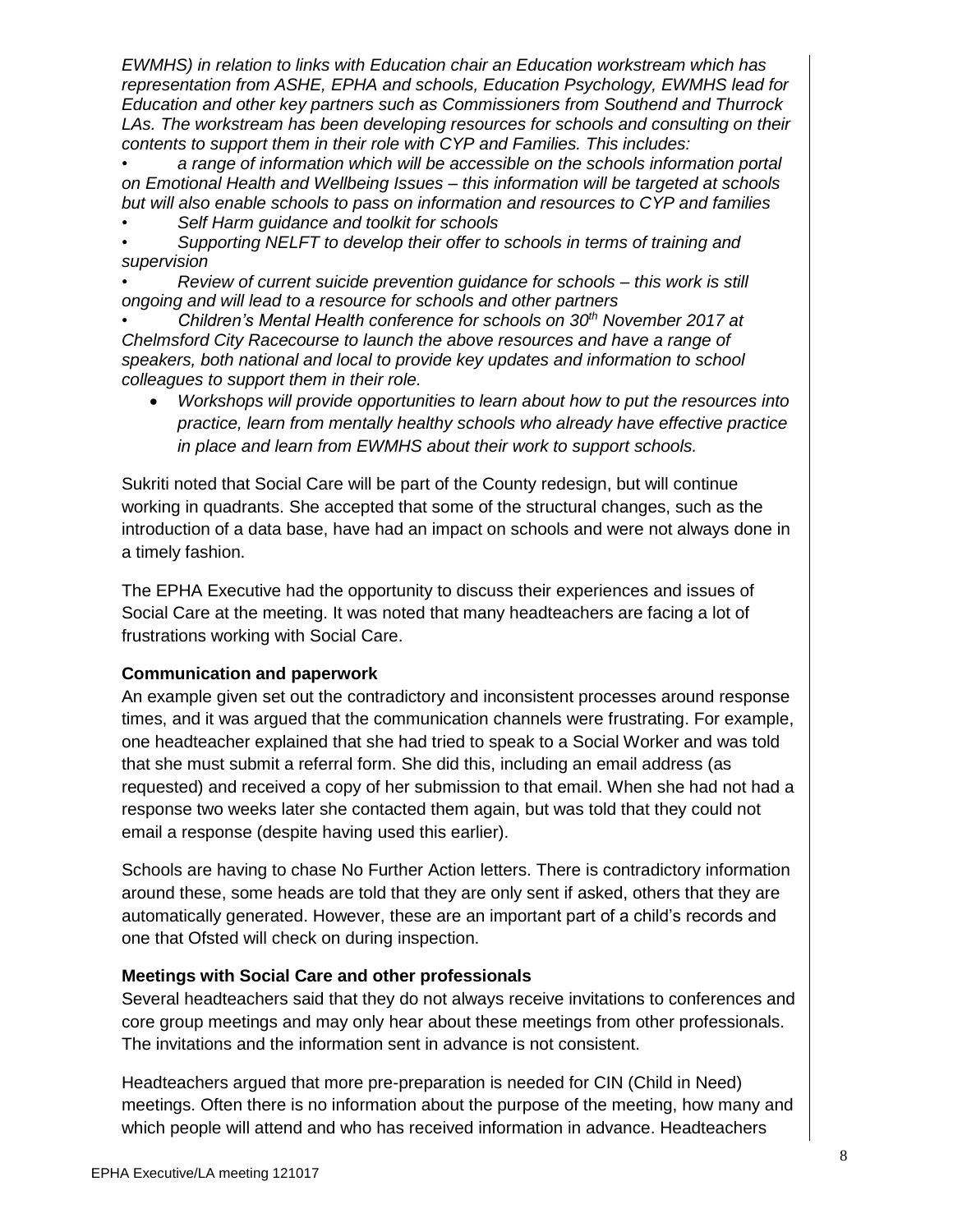*EWMHS) in relation to links with Education chair an Education workstream which has representation from ASHE, EPHA and schools, Education Psychology, EWMHS lead for Education and other key partners such as Commissioners from Southend and Thurrock*  LAs. The workstream has been developing resources for schools and consulting on their *contents to support them in their role with CYP and Families. This includes:*

*• a range of information which will be accessible on the schools information portal on Emotional Health and Wellbeing Issues – this information will be targeted at schools but will also enable schools to pass on information and resources to CYP and families* 

*• Self Harm guidance and toolkit for schools* 

*• Supporting NELFT to develop their offer to schools in terms of training and supervision*

*• Review of current suicide prevention guidance for schools – this work is still ongoing and will lead to a resource for schools and other partners* 

*• Children's Mental Health conference for schools on 30th November 2017 at Chelmsford City Racecourse to launch the above resources and have a range of speakers, both national and local to provide key updates and information to school colleagues to support them in their role.* 

 *Workshops will provide opportunities to learn about how to put the resources into practice, learn from mentally healthy schools who already have effective practice in place and learn from EWMHS about their work to support schools.* 

Sukriti noted that Social Care will be part of the County redesign, but will continue working in quadrants. She accepted that some of the structural changes, such as the introduction of a data base, have had an impact on schools and were not always done in a timely fashion.

The EPHA Executive had the opportunity to discuss their experiences and issues of Social Care at the meeting. It was noted that many headteachers are facing a lot of frustrations working with Social Care.

## **Communication and paperwork**

An example given set out the contradictory and inconsistent processes around response times, and it was argued that the communication channels were frustrating. For example, one headteacher explained that she had tried to speak to a Social Worker and was told that she must submit a referral form. She did this, including an email address (as requested) and received a copy of her submission to that email. When she had not had a response two weeks later she contacted them again, but was told that they could not email a response (despite having used this earlier).

Schools are having to chase No Further Action letters. There is contradictory information around these, some heads are told that they are only sent if asked, others that they are automatically generated. However, these are an important part of a child's records and one that Ofsted will check on during inspection.

## **Meetings with Social Care and other professionals**

Several headteachers said that they do not always receive invitations to conferences and core group meetings and may only hear about these meetings from other professionals. The invitations and the information sent in advance is not consistent.

Headteachers argued that more pre-preparation is needed for CIN (Child in Need) meetings. Often there is no information about the purpose of the meeting, how many and which people will attend and who has received information in advance. Headteachers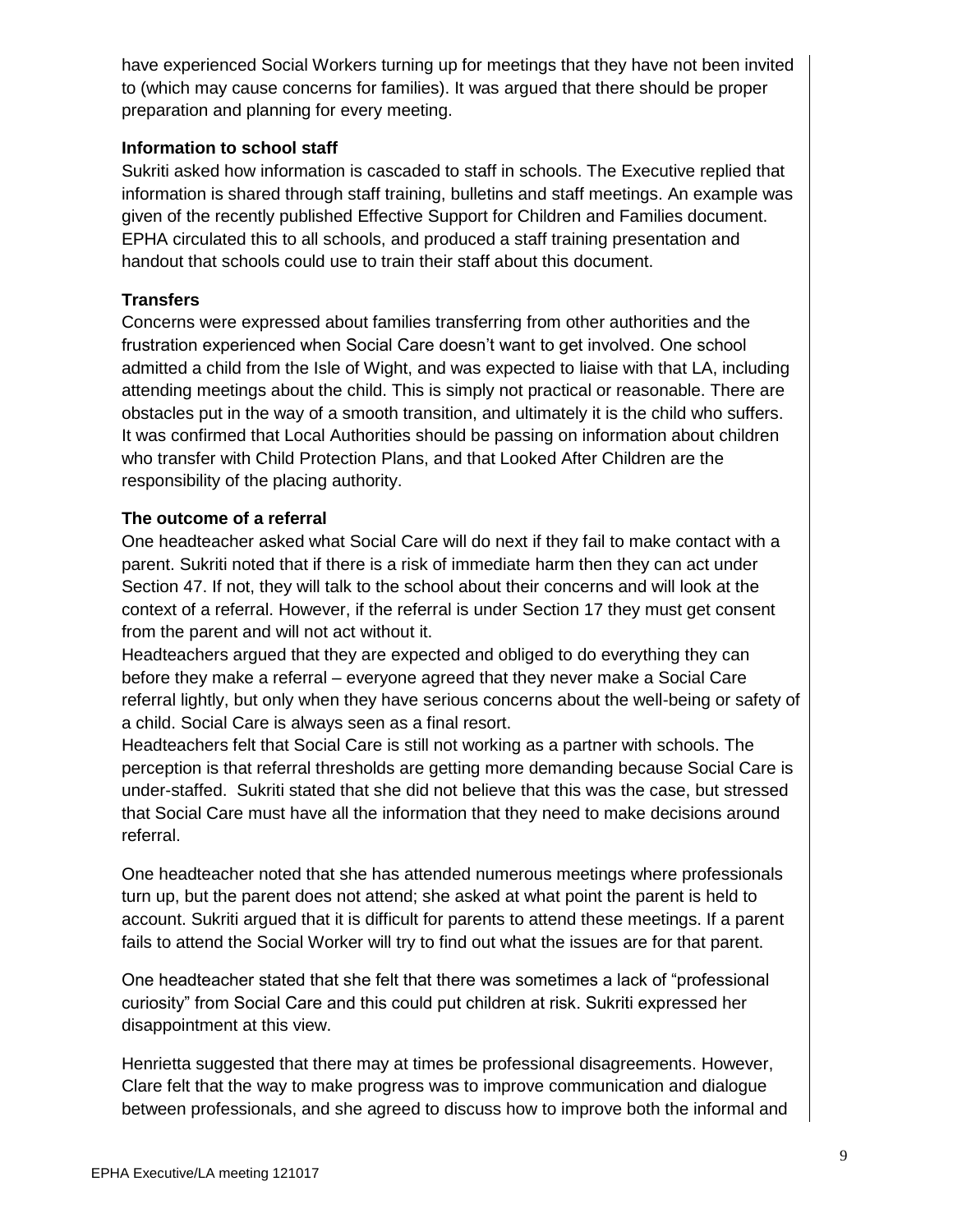have experienced Social Workers turning up for meetings that they have not been invited to (which may cause concerns for families). It was argued that there should be proper preparation and planning for every meeting.

## **Information to school staff**

Sukriti asked how information is cascaded to staff in schools. The Executive replied that information is shared through staff training, bulletins and staff meetings. An example was given of the recently published Effective Support for Children and Families document. EPHA circulated this to all schools, and produced a staff training presentation and handout that schools could use to train their staff about this document.

## **Transfers**

Concerns were expressed about families transferring from other authorities and the frustration experienced when Social Care doesn't want to get involved. One school admitted a child from the Isle of Wight, and was expected to liaise with that LA, including attending meetings about the child. This is simply not practical or reasonable. There are obstacles put in the way of a smooth transition, and ultimately it is the child who suffers. It was confirmed that Local Authorities should be passing on information about children who transfer with Child Protection Plans, and that Looked After Children are the responsibility of the placing authority.

## **The outcome of a referral**

One headteacher asked what Social Care will do next if they fail to make contact with a parent. Sukriti noted that if there is a risk of immediate harm then they can act under Section 47. If not, they will talk to the school about their concerns and will look at the context of a referral. However, if the referral is under Section 17 they must get consent from the parent and will not act without it.

Headteachers argued that they are expected and obliged to do everything they can before they make a referral – everyone agreed that they never make a Social Care referral lightly, but only when they have serious concerns about the well-being or safety of a child. Social Care is always seen as a final resort.

Headteachers felt that Social Care is still not working as a partner with schools. The perception is that referral thresholds are getting more demanding because Social Care is under-staffed. Sukriti stated that she did not believe that this was the case, but stressed that Social Care must have all the information that they need to make decisions around referral.

One headteacher noted that she has attended numerous meetings where professionals turn up, but the parent does not attend; she asked at what point the parent is held to account. Sukriti argued that it is difficult for parents to attend these meetings. If a parent fails to attend the Social Worker will try to find out what the issues are for that parent.

One headteacher stated that she felt that there was sometimes a lack of "professional curiosity" from Social Care and this could put children at risk. Sukriti expressed her disappointment at this view.

Henrietta suggested that there may at times be professional disagreements. However, Clare felt that the way to make progress was to improve communication and dialogue between professionals, and she agreed to discuss how to improve both the informal and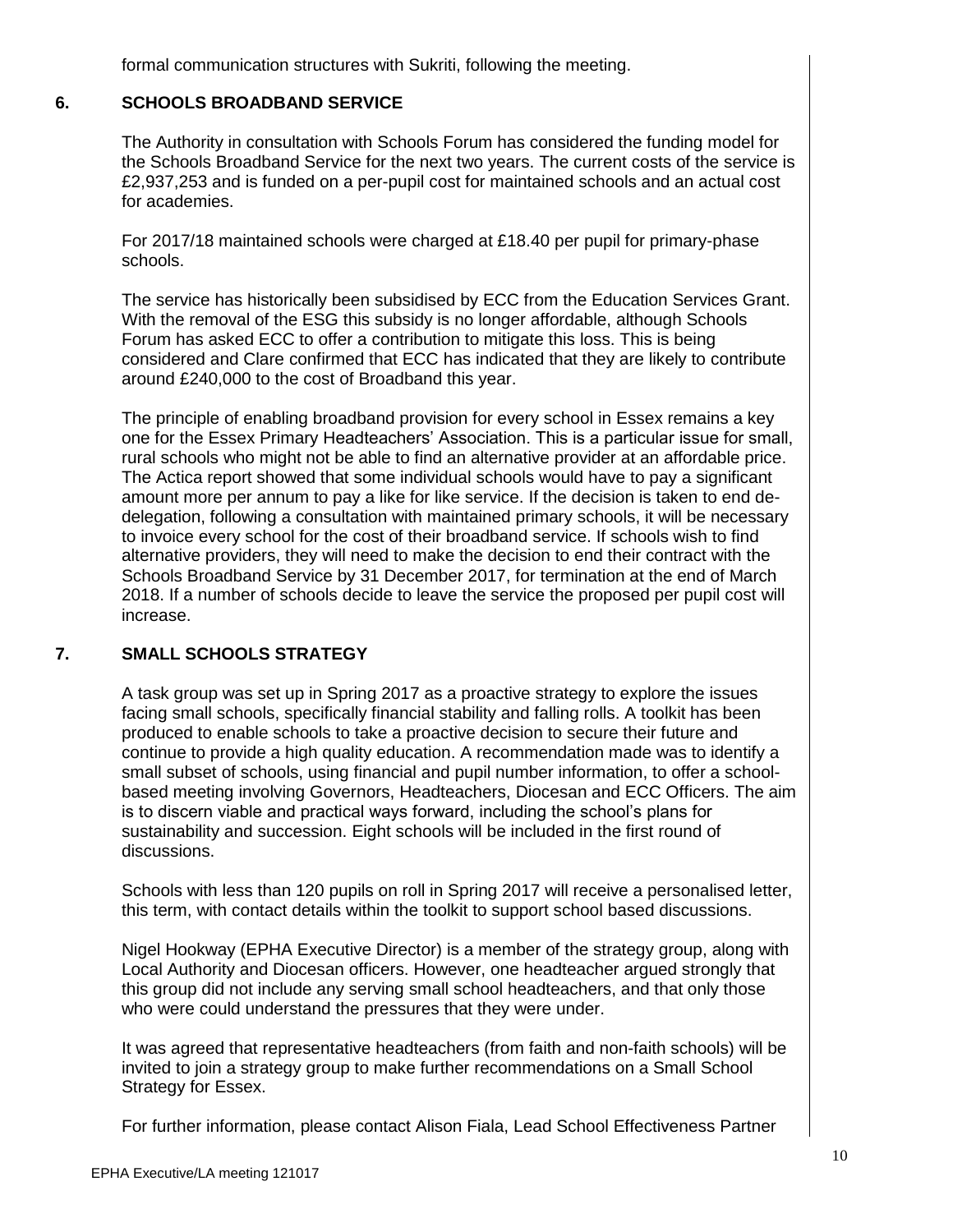formal communication structures with Sukriti, following the meeting.

## **6. SCHOOLS BROADBAND SERVICE**

The Authority in consultation with Schools Forum has considered the funding model for the Schools Broadband Service for the next two years. The current costs of the service is £2,937,253 and is funded on a per-pupil cost for maintained schools and an actual cost for academies.

For 2017/18 maintained schools were charged at £18.40 per pupil for primary-phase schools.

The service has historically been subsidised by ECC from the Education Services Grant. With the removal of the ESG this subsidy is no longer affordable, although Schools Forum has asked ECC to offer a contribution to mitigate this loss. This is being considered and Clare confirmed that ECC has indicated that they are likely to contribute around £240,000 to the cost of Broadband this year.

The principle of enabling broadband provision for every school in Essex remains a key one for the Essex Primary Headteachers' Association. This is a particular issue for small, rural schools who might not be able to find an alternative provider at an affordable price. The Actica report showed that some individual schools would have to pay a significant amount more per annum to pay a like for like service. If the decision is taken to end dedelegation, following a consultation with maintained primary schools, it will be necessary to invoice every school for the cost of their broadband service. If schools wish to find alternative providers, they will need to make the decision to end their contract with the Schools Broadband Service by 31 December 2017, for termination at the end of March 2018. If a number of schools decide to leave the service the proposed per pupil cost will increase.

## **7. SMALL SCHOOLS STRATEGY**

A task group was set up in Spring 2017 as a proactive strategy to explore the issues facing small schools, specifically financial stability and falling rolls. A toolkit has been produced to enable schools to take a proactive decision to secure their future and continue to provide a high quality education. A recommendation made was to identify a small subset of schools, using financial and pupil number information, to offer a schoolbased meeting involving Governors, Headteachers, Diocesan and ECC Officers. The aim is to discern viable and practical ways forward, including the school's plans for sustainability and succession. Eight schools will be included in the first round of discussions.

Schools with less than 120 pupils on roll in Spring 2017 will receive a personalised letter, this term, with contact details within the toolkit to support school based discussions.

Nigel Hookway (EPHA Executive Director) is a member of the strategy group, along with Local Authority and Diocesan officers. However, one headteacher argued strongly that this group did not include any serving small school headteachers, and that only those who were could understand the pressures that they were under.

It was agreed that representative headteachers (from faith and non-faith schools) will be invited to join a strategy group to make further recommendations on a Small School Strategy for Essex.

For further information, please contact Alison Fiala, Lead School Effectiveness Partner